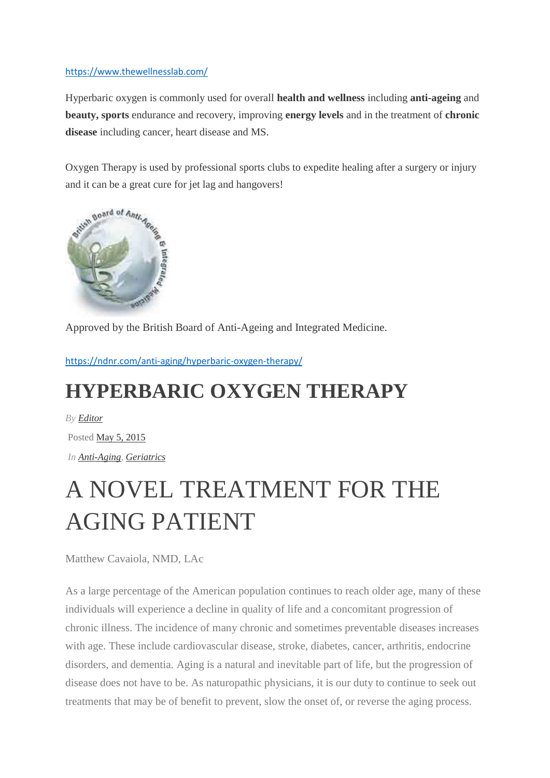#### <https://www.thewellnesslab.com/>

Hyperbaric oxygen is commonly used for overall **health and wellness** including **anti-ageing** and **beauty, sports** endurance and recovery, improving **energy levels** and in the treatment of **chronic disease** including cancer, heart disease and MS.

Oxygen Therapy is used by professional sports clubs to expedite healing after a surgery or injury and it can be a great cure for jet lag and hangovers!



Approved by the British Board of Anti-Ageing and Integrated Medicine.

<https://ndnr.com/anti-aging/hyperbaric-oxygen-therapy/>

### **HYPERBARIC OXYGEN THERAPY**

*By [Editor](https://ndnr.com/author/editor/)* Posted [May](https://ndnr.com/2015/05/) 5, 2015 *In [Anti-Aging,](https://ndnr.com/category/anti-aging/) [Geriatrics](https://ndnr.com/category/geriatrics/)*

# A NOVEL TREATMENT FOR THE AGING PATIENT

Matthew Cavaiola, NMD, LAc

As a large percentage of the American population continues to reach older age, many of these individuals will experience a decline in quality of life and a concomitant progression of chronic illness. The incidence of many chronic and sometimes preventable diseases increases with age. These include cardiovascular disease, stroke, diabetes, cancer, arthritis, endocrine disorders, and dementia. Aging is a natural and inevitable part of life, but the progression of disease does not have to be. As naturopathic physicians, it is our duty to continue to seek out treatments that may be of benefit to prevent, slow the onset of, or reverse the aging process.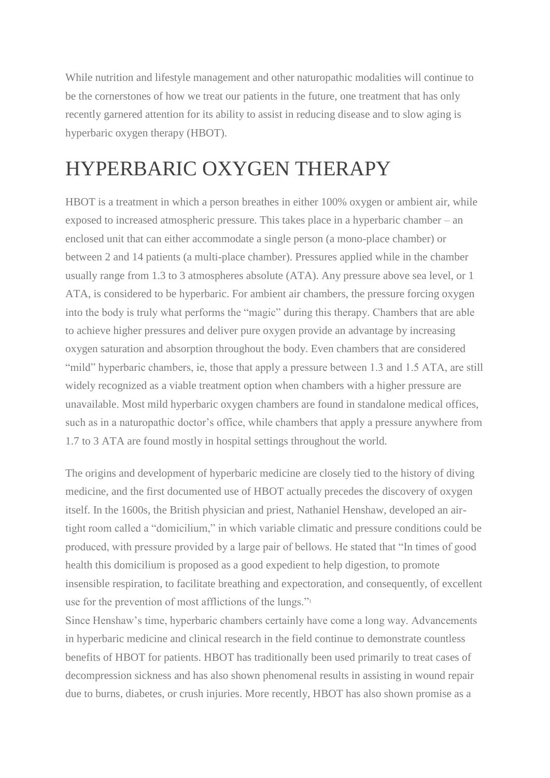While nutrition and lifestyle management and other naturopathic modalities will continue to be the cornerstones of how we treat our patients in the future, one treatment that has only recently garnered attention for its ability to assist in reducing disease and to slow aging is hyperbaric oxygen therapy (HBOT).

### HYPERBARIC OXYGEN THERAPY

HBOT is a treatment in which a person breathes in either 100% oxygen or ambient air, while exposed to increased atmospheric pressure. This takes place in a hyperbaric chamber – an enclosed unit that can either accommodate a single person (a mono-place chamber) or between 2 and 14 patients (a multi-place chamber). Pressures applied while in the chamber usually range from 1.3 to 3 atmospheres absolute (ATA). Any pressure above sea level, or 1 ATA, is considered to be hyperbaric. For ambient air chambers, the pressure forcing oxygen into the body is truly what performs the "magic" during this therapy. Chambers that are able to achieve higher pressures and deliver pure oxygen provide an advantage by increasing oxygen saturation and absorption throughout the body. Even chambers that are considered "mild" hyperbaric chambers, ie, those that apply a pressure between 1.3 and 1.5 ATA, are still widely recognized as a viable treatment option when chambers with a higher pressure are unavailable. Most mild hyperbaric oxygen chambers are found in standalone medical offices, such as in a naturopathic doctor's office, while chambers that apply a pressure anywhere from 1.7 to 3 ATA are found mostly in hospital settings throughout the world.

The origins and development of hyperbaric medicine are closely tied to the history of diving medicine, and the first documented use of HBOT actually precedes the discovery of oxygen itself. In the 1600s, the British physician and priest, Nathaniel Henshaw, developed an airtight room called a "domicilium," in which variable climatic and pressure conditions could be produced, with pressure provided by a large pair of bellows. He stated that "In times of good health this domicilium is proposed as a good expedient to help digestion, to promote insensible respiration, to facilitate breathing and expectoration, and consequently, of excellent use for the prevention of most afflictions of the lungs."<sup>1</sup>

Since Henshaw's time, hyperbaric chambers certainly have come a long way. Advancements in hyperbaric medicine and clinical research in the field continue to demonstrate countless benefits of HBOT for patients. HBOT has traditionally been used primarily to treat cases of decompression sickness and has also shown phenomenal results in assisting in wound repair due to burns, diabetes, or crush injuries. More recently, HBOT has also shown promise as a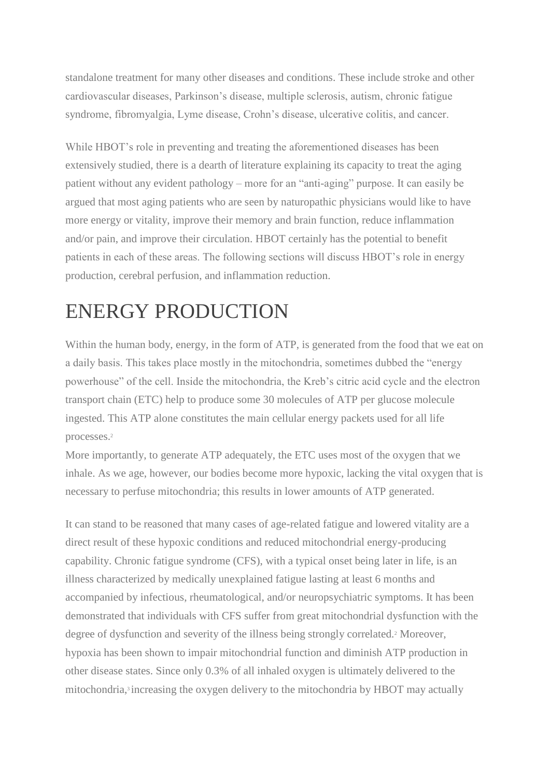standalone treatment for many other diseases and conditions. These include stroke and other cardiovascular diseases, Parkinson's disease, multiple sclerosis, autism, chronic fatigue syndrome, fibromyalgia, Lyme disease, Crohn's disease, ulcerative colitis, and cancer.

While HBOT's role in preventing and treating the aforementioned diseases has been extensively studied, there is a dearth of literature explaining its capacity to treat the aging patient without any evident pathology – more for an "anti-aging" purpose. It can easily be argued that most aging patients who are seen by naturopathic physicians would like to have more energy or vitality, improve their memory and brain function, reduce inflammation and/or pain, and improve their circulation. HBOT certainly has the potential to benefit patients in each of these areas. The following sections will discuss HBOT's role in energy production, cerebral perfusion, and inflammation reduction.

### ENERGY PRODUCTION

Within the human body, energy, in the form of ATP, is generated from the food that we eat on a daily basis. This takes place mostly in the mitochondria, sometimes dubbed the "energy powerhouse" of the cell. Inside the mitochondria, the Kreb's citric acid cycle and the electron transport chain (ETC) help to produce some 30 molecules of ATP per glucose molecule ingested. This ATP alone constitutes the main cellular energy packets used for all life processes.<sup>2</sup>

More importantly, to generate ATP adequately, the ETC uses most of the oxygen that we inhale. As we age, however, our bodies become more hypoxic, lacking the vital oxygen that is necessary to perfuse mitochondria; this results in lower amounts of ATP generated.

It can stand to be reasoned that many cases of age-related fatigue and lowered vitality are a direct result of these hypoxic conditions and reduced mitochondrial energy-producing capability. Chronic fatigue syndrome (CFS), with a typical onset being later in life, is an illness characterized by medically unexplained fatigue lasting at least 6 months and accompanied by infectious, rheumatological, and/or neuropsychiatric symptoms. It has been demonstrated that individuals with CFS suffer from great mitochondrial dysfunction with the degree of dysfunction and severity of the illness being strongly correlated.<sup>2</sup> Moreover, hypoxia has been shown to impair mitochondrial function and diminish ATP production in other disease states. Since only 0.3% of all inhaled oxygen is ultimately delivered to the mitochondria,<sup>3</sup> increasing the oxygen delivery to the mitochondria by HBOT may actually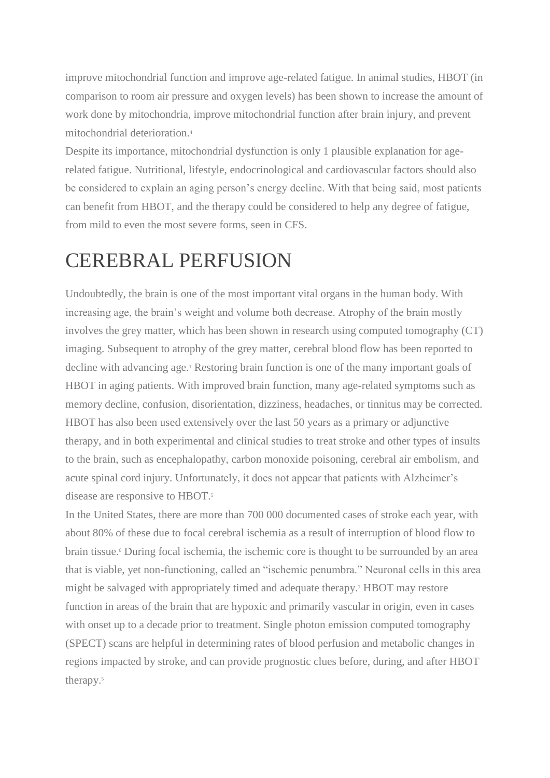improve mitochondrial function and improve age-related fatigue. In animal studies, HBOT (in comparison to room air pressure and oxygen levels) has been shown to increase the amount of work done by mitochondria, improve mitochondrial function after brain injury, and prevent mitochondrial deterioration.<sup>4</sup>

Despite its importance, mitochondrial dysfunction is only 1 plausible explanation for agerelated fatigue. Nutritional, lifestyle, endocrinological and cardiovascular factors should also be considered to explain an aging person's energy decline. With that being said, most patients can benefit from HBOT, and the therapy could be considered to help any degree of fatigue, from mild to even the most severe forms, seen in CFS.

### CEREBRAL PERFUSION

Undoubtedly, the brain is one of the most important vital organs in the human body. With increasing age, the brain's weight and volume both decrease. Atrophy of the brain mostly involves the grey matter, which has been shown in research using computed tomography (CT) imaging. Subsequent to atrophy of the grey matter, cerebral blood flow has been reported to decline with advancing age.<sup>1</sup> Restoring brain function is one of the many important goals of HBOT in aging patients. With improved brain function, many age-related symptoms such as memory decline, confusion, disorientation, dizziness, headaches, or tinnitus may be corrected. HBOT has also been used extensively over the last 50 years as a primary or adjunctive therapy, and in both experimental and clinical studies to treat stroke and other types of insults to the brain, such as encephalopathy, carbon monoxide poisoning, cerebral air embolism, and acute spinal cord injury. Unfortunately, it does not appear that patients with Alzheimer's disease are responsive to HBOT.<sup>5</sup>

In the United States, there are more than 700 000 documented cases of stroke each year, with about 80% of these due to focal cerebral ischemia as a result of interruption of blood flow to brain tissue.<sup>6</sup> During focal ischemia, the ischemic core is thought to be surrounded by an area that is viable, yet non-functioning, called an "ischemic penumbra." Neuronal cells in this area might be salvaged with appropriately timed and adequate therapy.<sup>7</sup> HBOT may restore function in areas of the brain that are hypoxic and primarily vascular in origin, even in cases with onset up to a decade prior to treatment. Single photon emission computed tomography (SPECT) scans are helpful in determining rates of blood perfusion and metabolic changes in regions impacted by stroke, and can provide prognostic clues before, during, and after HBOT therapy.<sup>5</sup>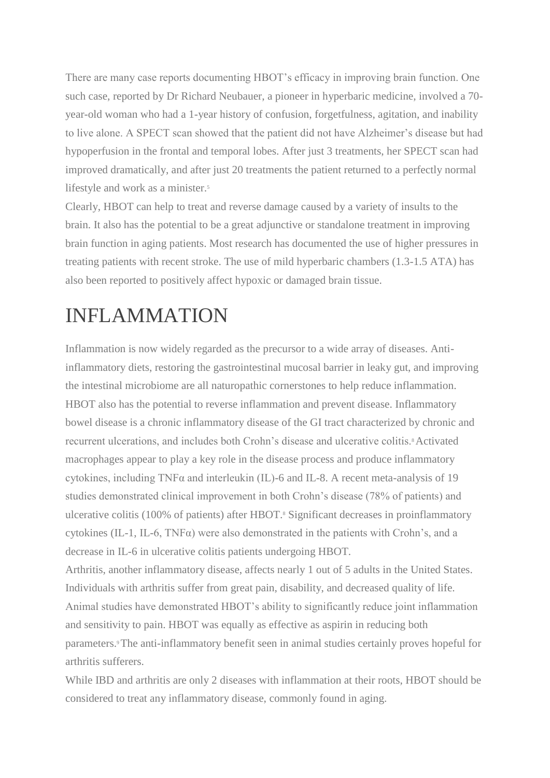There are many case reports documenting HBOT's efficacy in improving brain function. One such case, reported by Dr Richard Neubauer, a pioneer in hyperbaric medicine, involved a 70 year-old woman who had a 1-year history of confusion, forgetfulness, agitation, and inability to live alone. A SPECT scan showed that the patient did not have Alzheimer's disease but had hypoperfusion in the frontal and temporal lobes. After just 3 treatments, her SPECT scan had improved dramatically, and after just 20 treatments the patient returned to a perfectly normal lifestyle and work as a minister.<sup>5</sup>

Clearly, HBOT can help to treat and reverse damage caused by a variety of insults to the brain. It also has the potential to be a great adjunctive or standalone treatment in improving brain function in aging patients. Most research has documented the use of higher pressures in treating patients with recent stroke. The use of mild hyperbaric chambers (1.3-1.5 ATA) has also been reported to positively affect hypoxic or damaged brain tissue.

### INFLAMMATION

Inflammation is now widely regarded as the precursor to a wide array of diseases. Antiinflammatory diets, restoring the gastrointestinal mucosal barrier in leaky gut, and improving the intestinal microbiome are all naturopathic cornerstones to help reduce inflammation. HBOT also has the potential to reverse inflammation and prevent disease. Inflammatory bowel disease is a chronic inflammatory disease of the GI tract characterized by chronic and recurrent ulcerations, and includes both Crohn's disease and ulcerative colitis.8Activated macrophages appear to play a key role in the disease process and produce inflammatory cytokines, including TNFα and interleukin (IL)-6 and IL-8. A recent meta-analysis of 19 studies demonstrated clinical improvement in both Crohn's disease (78% of patients) and ulcerative colitis (100% of patients) after HBOT.<sup>8</sup> Significant decreases in proinflammatory cytokines (IL-1, IL-6, TNF $\alpha$ ) were also demonstrated in the patients with Crohn's, and a decrease in IL-6 in ulcerative colitis patients undergoing HBOT.

Arthritis, another inflammatory disease, affects nearly 1 out of 5 adults in the United States. Individuals with arthritis suffer from great pain, disability, and decreased quality of life. Animal studies have demonstrated HBOT's ability to significantly reduce joint inflammation and sensitivity to pain. HBOT was equally as effective as aspirin in reducing both parameters.9The anti-inflammatory benefit seen in animal studies certainly proves hopeful for arthritis sufferers.

While IBD and arthritis are only 2 diseases with inflammation at their roots, HBOT should be considered to treat any inflammatory disease, commonly found in aging.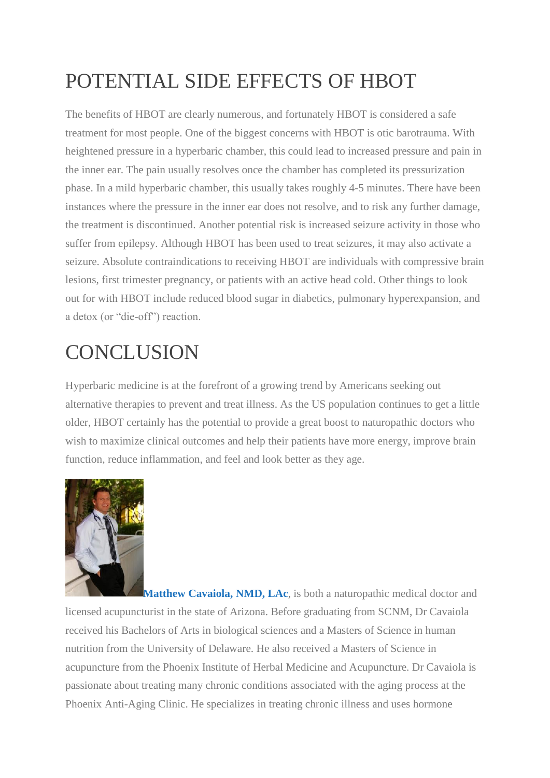## POTENTIAL SIDE EFFECTS OF HBOT

The benefits of HBOT are clearly numerous, and fortunately HBOT is considered a safe treatment for most people. One of the biggest concerns with HBOT is otic barotrauma. With heightened pressure in a hyperbaric chamber, this could lead to increased pressure and pain in the inner ear. The pain usually resolves once the chamber has completed its pressurization phase. In a mild hyperbaric chamber, this usually takes roughly 4-5 minutes. There have been instances where the pressure in the inner ear does not resolve, and to risk any further damage, the treatment is discontinued. Another potential risk is increased seizure activity in those who suffer from epilepsy. Although HBOT has been used to treat seizures, it may also activate a seizure. Absolute contraindications to receiving HBOT are individuals with compressive brain lesions, first trimester pregnancy, or patients with an active head cold. Other things to look out for with HBOT include reduced blood sugar in diabetics, pulmonary hyperexpansion, and a detox (or "die-off") reaction.

## **CONCLUSION**

Hyperbaric medicine is at the forefront of a growing trend by Americans seeking out alternative therapies to prevent and treat illness. As the US population continues to get a little older, HBOT certainly has the potential to provide a great boost to naturopathic doctors who wish to maximize clinical outcomes and help their patients have more energy, improve brain function, reduce inflammation, and feel and look better as they age.



**[M](https://ndnr.com/wp-content/uploads/2015/05/IMG_3365-copy.jpg)atthew Cavaiola, NMD, LAc**, is both a naturopathic medical doctor and licensed acupuncturist in the state of Arizona. Before graduating from SCNM, Dr Cavaiola received his Bachelors of Arts in biological sciences and a Masters of Science in human nutrition from the University of Delaware. He also received a Masters of Science in acupuncture from the Phoenix Institute of Herbal Medicine and Acupuncture. Dr Cavaiola is passionate about treating many chronic conditions associated with the aging process at the Phoenix Anti-Aging Clinic. He specializes in treating chronic illness and uses hormone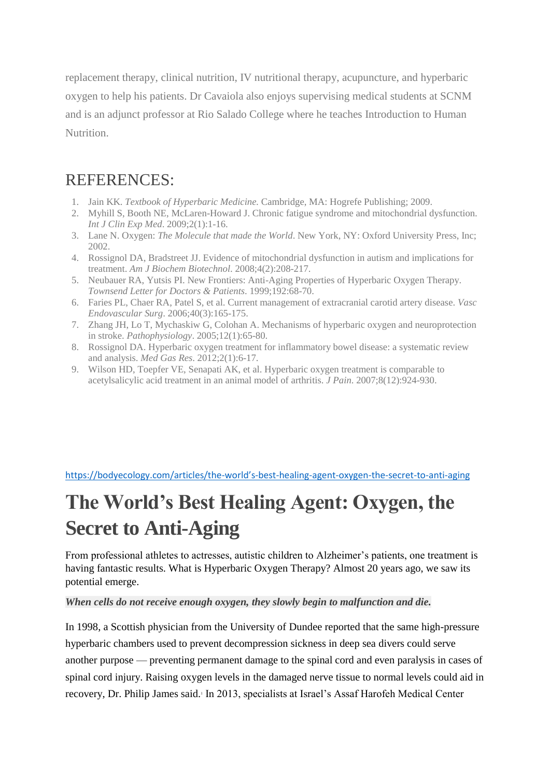replacement therapy, clinical nutrition, IV nutritional therapy, acupuncture, and hyperbaric oxygen to help his patients. Dr Cavaiola also enjoys supervising medical students at SCNM and is an adjunct professor at Rio Salado College where he teaches Introduction to Human Nutrition.

### REFERENCES:

- 1. Jain KK. *Textbook of Hyperbaric Medicine.* Cambridge, MA: Hogrefe Publishing; 2009.
- 2. Myhill S, Booth NE, McLaren-Howard J. Chronic fatigue syndrome and mitochondrial dysfunction*. Int J Clin Exp Med*. 2009;2(1):1-16.
- 3. Lane N. Oxygen: *The Molecule that made the World*. New York, NY: Oxford University Press, Inc; 2002.
- 4. Rossignol DA, Bradstreet JJ. Evidence of mitochondrial dysfunction in autism and implications for treatment. *Am J Biochem Biotechnol*. 2008;4(2):208-217.
- 5. Neubauer RA, Yutsis PI. New Frontiers: Anti-Aging Properties of Hyperbaric Oxygen Therapy. *Townsend Letter for Doctors & Patients*. 1999;192:68-70.
- 6. Faries PL, Chaer RA, Patel S, et al. Current management of extracranial carotid artery disease. *Vasc Endovascular Surg*. 2006;40(3):165-175.
- 7. Zhang JH, Lo T, Mychaskiw G, Colohan A. Mechanisms of hyperbaric oxygen and neuroprotection in stroke. *Pathophysiology*. 2005;12(1):65-80.
- 8. Rossignol DA. Hyperbaric oxygen treatment for inflammatory bowel disease: a systematic review and analysis. *Med Gas Res*. 2012;2(1):6-17.
- 9. Wilson HD, Toepfer VE, Senapati AK, et al. Hyperbaric oxygen treatment is comparable to acetylsalicylic acid treatment in an animal model of arthritis. *J Pain*. 2007;8(12):924-930.

https://bodyecology.com/articles/the-world's[-best-healing-agent-oxygen-the-secret-to-anti-aging](https://bodyecology.com/articles/the-world)

## **The World's Best Healing Agent: Oxygen, the Secret to Anti-Aging**

From professional athletes to actresses, autistic children to Alzheimer's patients, one treatment is having fantastic results. What is Hyperbaric Oxygen Therapy? Almost 20 years ago, we saw its potential emerge.

#### *When cells do not receive enough oxygen, they slowly begin to malfunction and die.*

In 1998, a Scottish physician from the University of Dundee reported that the same high-pressure hyperbaric chambers used to prevent decompression sickness in deep sea divers could serve another purpose — preventing permanent damage to the spinal cord and even paralysis in cases of spinal cord injury. Raising oxygen levels in the damaged nerve tissue to normal levels could aid in recovery, Dr. Philip James said.<sup>1</sup> In 2013, specialists at Israel's Assaf Harofeh Medical Center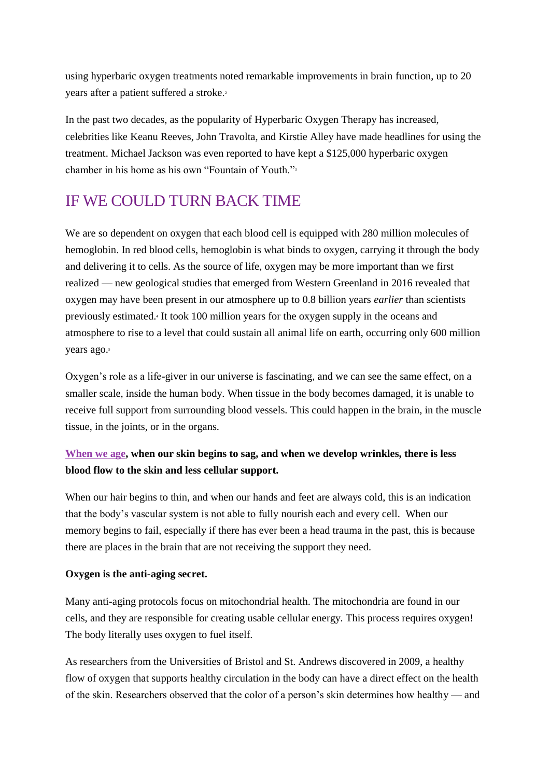using hyperbaric oxygen treatments noted remarkable improvements in brain function, up to 20 years after a patient suffered a stroke.<sup>2</sup>

In the past two decades, as the popularity of Hyperbaric Oxygen Therapy has increased, celebrities like Keanu Reeves, John Travolta, and Kirstie Alley have made headlines for using the treatment. Michael Jackson was even reported to have kept a \$125,000 hyperbaric oxygen chamber in his home as his own "Fountain of Youth."<sup>3</sup>

### IF WE COULD TURN BACK TIME

We are so dependent on oxygen that each blood cell is equipped with 280 million molecules of hemoglobin. In red blood cells, hemoglobin is what binds to oxygen, carrying it through the body and delivering it to cells. As the source of life, oxygen may be more important than we first realized — new geological studies that emerged from Western Greenland in 2016 revealed that oxygen may have been present in our atmosphere up to 0.8 billion years *earlier* than scientists previously estimated.<sup>4</sup> It took 100 million years for the oxygen supply in the oceans and atmosphere to rise to a level that could sustain all animal life on earth, occurring only 600 million years ago.<sup>5</sup>

Oxygen's role as a life-giver in our universe is fascinating, and we can see the same effect, on a smaller scale, inside the human body. When tissue in the body becomes damaged, it is unable to receive full support from surrounding blood vessels. This could happen in the brain, in the muscle tissue, in the joints, or in the organs.

#### **[When we age,](http://bodyecology.com/articles/easy-anti-aging-secrets.php) when our skin begins to sag, and when we develop wrinkles, there is less blood flow to the skin and less cellular support.**

When our hair begins to thin, and when our hands and feet are always cold, this is an indication that the body's vascular system is not able to fully nourish each and every cell. When our memory begins to fail, especially if there has ever been a head trauma in the past, this is because there are places in the brain that are not receiving the support they need.

#### **Oxygen is the anti-aging secret.**

Many anti-aging protocols focus on mitochondrial health. The mitochondria are found in our cells, and they are responsible for creating usable cellular energy. This process requires oxygen! The body literally uses oxygen to fuel itself.

As researchers from the Universities of Bristol and St. Andrews discovered in 2009, a healthy flow of oxygen that supports healthy circulation in the body can have a direct effect on the health of the skin. Researchers observed that the color of a person's skin determines how healthy — and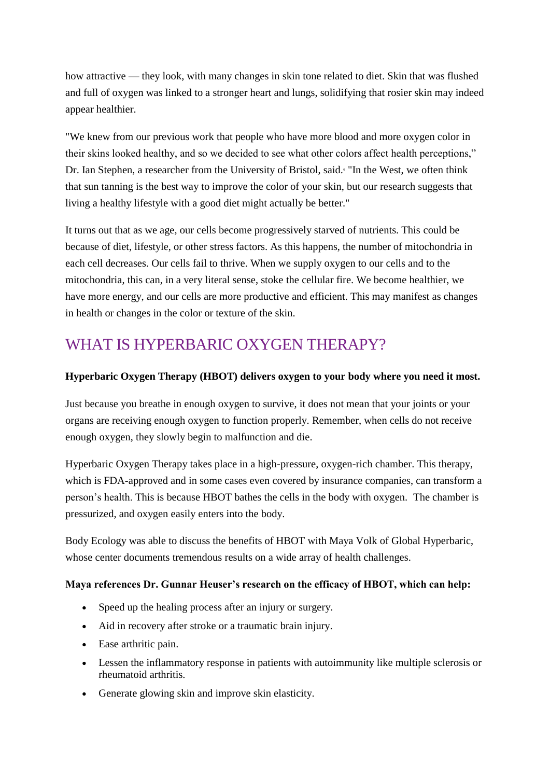how attractive — they look, with many changes in skin tone related to diet. Skin that was flushed and full of oxygen was linked to a stronger heart and lungs, solidifying that rosier skin may indeed appear healthier.

"We knew from our previous work that people who have more blood and more oxygen color in their skins looked healthy, and so we decided to see what other colors affect health perceptions," Dr. Ian Stephen, a researcher from the University of Bristol, said.<sup>5</sup> "In the West, we often think that sun tanning is the best way to improve the color of your skin, but our research suggests that living a healthy lifestyle with a good diet might actually be better."

It turns out that as we age, our cells become progressively starved of nutrients. This could be because of diet, lifestyle, or other stress factors. As this happens, the number of mitochondria in each cell decreases. Our cells fail to thrive. When we supply oxygen to our cells and to the mitochondria, this can, in a very literal sense, stoke the cellular fire. We become healthier, we have more energy, and our cells are more productive and efficient. This may manifest as changes in health or changes in the color or texture of the skin.

### WHAT IS HYPERBARIC OXYGEN THERAPY?

#### **Hyperbaric Oxygen Therapy (HBOT) delivers oxygen to your body where you need it most.**

Just because you breathe in enough oxygen to survive, it does not mean that your joints or your organs are receiving enough oxygen to function properly. Remember, when cells do not receive enough oxygen, they slowly begin to malfunction and die.

Hyperbaric Oxygen Therapy takes place in a high-pressure, oxygen-rich chamber. This therapy, which is FDA-approved and in some cases even covered by insurance companies, can transform a person's health. This is because HBOT bathes the cells in the body with oxygen. The chamber is pressurized, and oxygen easily enters into the body.

Body Ecology was able to discuss the benefits of HBOT with Maya Volk of Global Hyperbaric, whose center documents tremendous results on a wide array of health challenges.

#### **Maya references Dr. Gunnar Heuser's research on the efficacy of HBOT, which can help:**

- Speed up the healing process after an injury or surgery.
- Aid in recovery after stroke or a traumatic brain injury.
- Ease arthritic pain.
- Lessen the inflammatory response in patients with autoimmunity like multiple sclerosis or rheumatoid arthritis.
- Generate glowing skin and improve skin elasticity.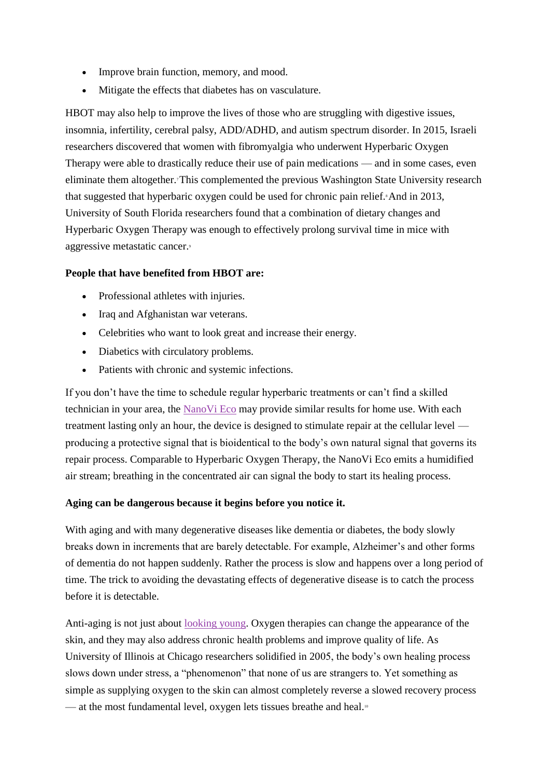- Improve brain function, memory, and mood.
- Mitigate the effects that diabetes has on vasculature.

HBOT may also help to improve the lives of those who are struggling with digestive issues, insomnia, infertility, cerebral palsy, ADD/ADHD, and autism spectrum disorder. In 2015, Israeli researchers discovered that women with fibromyalgia who underwent Hyperbaric Oxygen Therapy were able to drastically reduce their use of pain medications — and in some cases, even eliminate them altogether.7 This complemented the previous Washington State University research that suggested that hyperbaric oxygen could be used for chronic pain relief. And in 2013, University of South Florida researchers found that a combination of dietary changes and Hyperbaric Oxygen Therapy was enough to effectively prolong survival time in mice with aggressive metastatic cancer.<sup>9</sup>

#### **People that have benefited from HBOT are:**

- Professional athletes with injuries.
- Iraq and Afghanistan war veterans.
- Celebrities who want to look great and increase their energy.
- Diabetics with circulatory problems.
- Patients with chronic and systemic infections.

If you don't have the time to schedule regular hyperbaric treatments or can't find a skilled technician in your area, the [NanoVi Eco](http://eng3corp.com/body-ecology/) may provide similar results for home use. With each treatment lasting only an hour, the device is designed to stimulate repair at the cellular level producing a protective signal that is bioidentical to the body's own natural signal that governs its repair process. Comparable to Hyperbaric Oxygen Therapy, the NanoVi Eco emits a humidified air stream; breathing in the concentrated air can signal the body to start its healing process.

#### **Aging can be dangerous because it begins before you notice it.**

With aging and with many degenerative diseases like dementia or diabetes, the body slowly breaks down in increments that are barely detectable. For example, Alzheimer's and other forms of dementia do not happen suddenly. Rather the process is slow and happens over a long period of time. The trick to avoiding the devastating effects of degenerative disease is to catch the process before it is detectable.

Anti-aging is not just about [looking young.](http://bodyecology.com/articles/hyperbaric-oxygen-therapy-one-of-hollywood%E2%80%99s-best-kept-beauty-secrets) Oxygen therapies can change the appearance of the skin, and they may also address chronic health problems and improve quality of life. As University of Illinois at Chicago researchers solidified in 2005, the body's own healing process slows down under stress, a "phenomenon" that none of us are strangers to. Yet something as simple as supplying oxygen to the skin can almost completely reverse a slowed recovery process — at the most fundamental level, oxygen lets tissues breathe and heal.<sup>10</sup>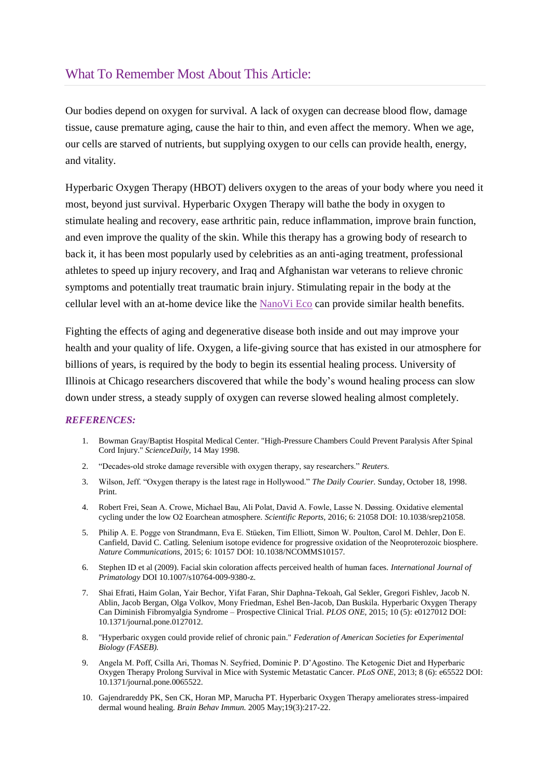#### What To Remember Most About This Article:

Our bodies depend on oxygen for survival*.* A lack of oxygen can decrease blood flow, damage tissue, cause premature aging, cause the hair to thin, and even affect the memory. When we age, our cells are starved of nutrients, but supplying oxygen to our cells can provide health, energy, and vitality.

Hyperbaric Oxygen Therapy (HBOT) delivers oxygen to the areas of your body where you need it most, beyond just survival. Hyperbaric Oxygen Therapy will bathe the body in oxygen to stimulate healing and recovery, ease arthritic pain, reduce inflammation, improve brain function, and even improve the quality of the skin. While this therapy has a growing body of research to back it, it has been most popularly used by celebrities as an anti-aging treatment, professional athletes to speed up injury recovery, and Iraq and Afghanistan war veterans to relieve chronic symptoms and potentially treat traumatic brain injury. Stimulating repair in the body at the cellular level with an at-home device like the [NanoVi Eco](http://eng3corp.com/body-ecology/) can provide similar health benefits.

Fighting the effects of aging and degenerative disease both inside and out may improve your health and your quality of life. Oxygen, a life-giving source that has existed in our atmosphere for billions of years, is required by the body to begin its essential healing process. University of Illinois at Chicago researchers discovered that while the body's wound healing process can slow down under stress, a steady supply of oxygen can reverse slowed healing almost completely.

#### *REFERENCES:*

- 1. Bowman Gray/Baptist Hospital Medical Center. "High-Pressure Chambers Could Prevent Paralysis After Spinal Cord Injury." *ScienceDaily,* 14 May 1998.
- 2. "Decades-old stroke damage reversible with oxygen therapy, say researchers." *Reuters.*
- 3. Wilson, Jeff. "Oxygen therapy is the latest rage in Hollywood." *The Daily Courier.* Sunday, October 18, 1998. Print.
- 4. Robert Frei, Sean A. Crowe, Michael Bau, Ali Polat, David A. Fowle, Lasse N. Døssing. Oxidative elemental cycling under the low O2 Eoarchean atmosphere. *Scientific Reports,* 2016; 6: 21058 DOI: 10.1038/srep21058.
- 5. Philip A. E. Pogge von Strandmann, Eva E. Stüeken, Tim Elliott, Simon W. Poulton, Carol M. Dehler, Don E. Canfield, David C. Catling. Selenium isotope evidence for progressive oxidation of the Neoproterozoic biosphere. *Nature Communications,* 2015; 6: 10157 DOI: 10.1038/NCOMMS10157.
- 6. Stephen ID et al (2009). Facial skin coloration affects perceived health of human faces. *International Journal of Primatology* DOI 10.1007/s10764-009-9380-z.
- 7. Shai Efrati, Haim Golan, Yair Bechor, Yifat Faran, Shir Daphna-Tekoah, Gal Sekler, Gregori Fishlev, Jacob N. Ablin, Jacob Bergan, Olga Volkov, Mony Friedman, Eshel Ben-Jacob, Dan Buskila. Hyperbaric Oxygen Therapy Can Diminish Fibromyalgia Syndrome – Prospective Clinical Trial. *PLOS ONE,* 2015; 10 (5): e0127012 DOI: 10.1371/journal.pone.0127012.
- 8. "Hyperbaric oxygen could provide relief of chronic pain." *Federation of American Societies for Experimental Biology (FASEB).*
- 9. Angela M. Poff, Csilla Ari, Thomas N. Seyfried, Dominic P. D'Agostino. The Ketogenic Diet and Hyperbaric Oxygen Therapy Prolong Survival in Mice with Systemic Metastatic Cancer. *PLoS ONE,* 2013; 8 (6): e65522 DOI: 10.1371/journal.pone.0065522.
- 10. Gajendrareddy PK, Sen CK, Horan MP, Marucha PT. Hyperbaric Oxygen Therapy ameliorates stress-impaired dermal wound healing. *Brain Behav Immun.* 2005 May;19(3):217-22.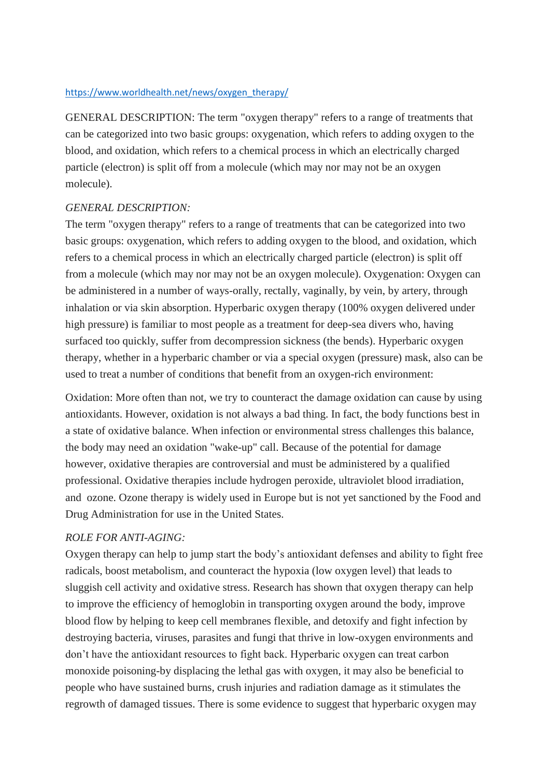#### [https://www.worldhealth.net/news/oxygen\\_therapy/](https://www.worldhealth.net/news/oxygen_therapy/)

GENERAL DESCRIPTION: The term "oxygen therapy" refers to a range of treatments that can be categorized into two basic groups: oxygenation, which refers to adding oxygen to the blood, and oxidation, which refers to a chemical process in which an electrically charged particle (electron) is split off from a molecule (which may nor may not be an oxygen molecule).

#### *GENERAL DESCRIPTION:*

The term "oxygen therapy" refers to a range of treatments that can be categorized into two basic groups: oxygenation, which refers to adding oxygen to the blood, and oxidation, which refers to a chemical process in which an electrically charged particle (electron) is split off from a molecule (which may nor may not be an oxygen molecule). Oxygenation: Oxygen can be administered in a number of ways-orally, rectally, vaginally, by vein, by artery, through inhalation or via skin absorption. Hyperbaric oxygen therapy (100% oxygen delivered under high pressure) is familiar to most people as a treatment for deep-sea divers who, having surfaced too quickly, suffer from decompression sickness (the bends). Hyperbaric oxygen therapy, whether in a hyperbaric chamber or via a special oxygen (pressure) mask, also can be used to treat a number of conditions that benefit from an oxygen-rich environment:

Oxidation: More often than not, we try to counteract the damage oxidation can cause by using antioxidants. However, oxidation is not always a bad thing. In fact, the body functions best in a state of oxidative balance. When infection or environmental stress challenges this balance, the body may need an oxidation "wake-up" call. Because of the potential for damage however, oxidative therapies are controversial and must be administered by a qualified professional. Oxidative therapies include hydrogen peroxide, ultraviolet blood irradiation, and ozone. Ozone therapy is widely used in Europe but is not yet sanctioned by the Food and Drug Administration for use in the United States.

#### *ROLE FOR ANTI-AGING:*

Oxygen therapy can help to jump start the body's antioxidant defenses and ability to fight free radicals, boost metabolism, and counteract the hypoxia (low oxygen level) that leads to sluggish cell activity and oxidative stress. Research has shown that oxygen therapy can help to improve the efficiency of hemoglobin in transporting oxygen around the body, improve blood flow by helping to keep cell membranes flexible, and detoxify and fight infection by destroying bacteria, viruses, parasites and fungi that thrive in low-oxygen environments and don't have the antioxidant resources to fight back. Hyperbaric oxygen can treat carbon monoxide poisoning-by displacing the lethal gas with oxygen, it may also be beneficial to people who have sustained burns, crush injuries and radiation damage as it stimulates the regrowth of damaged tissues. There is some evidence to suggest that hyperbaric oxygen may